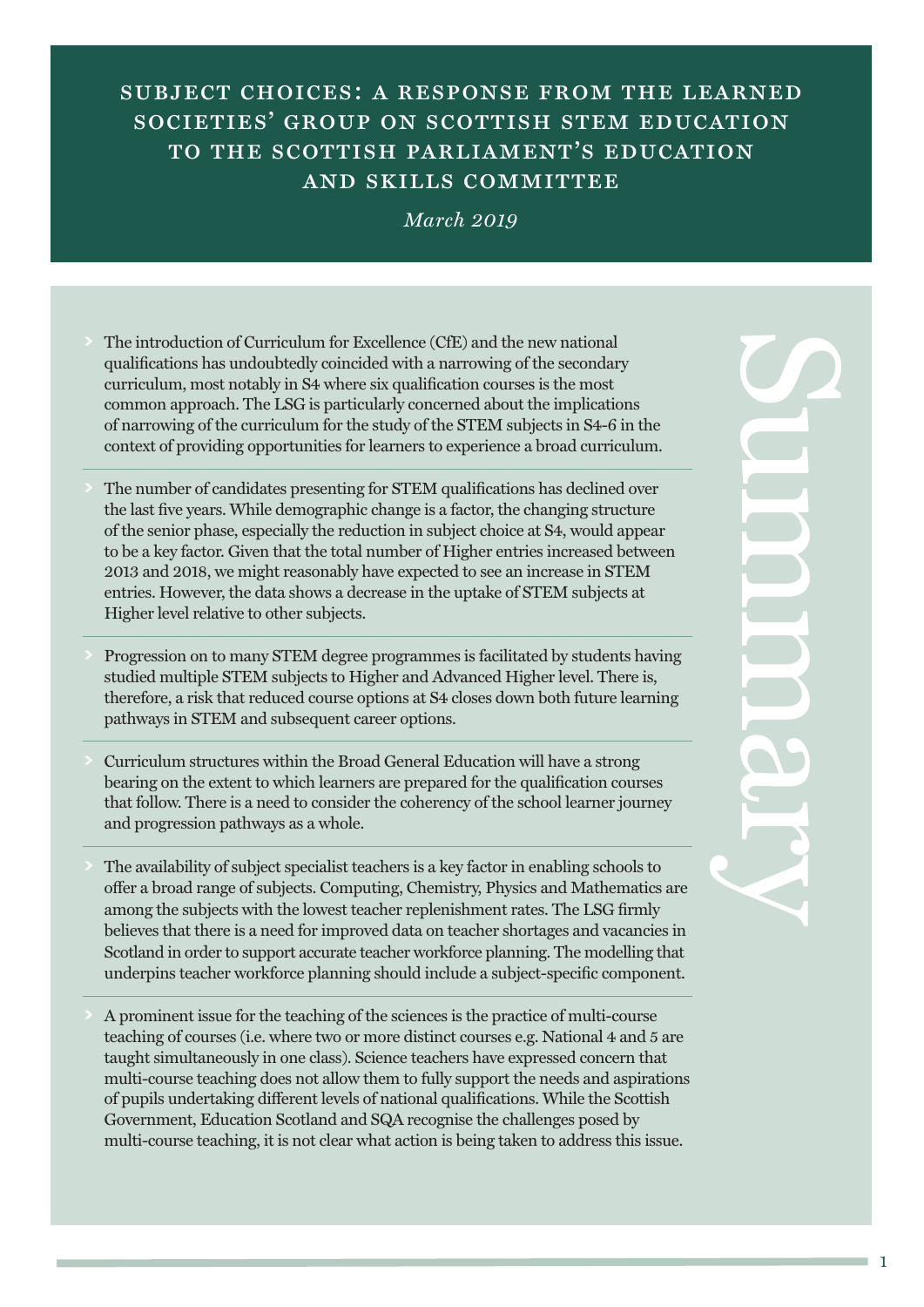# subject choices: a response from the learned SOCIETIES' GROUP ON SCOTTISH STEM EDUCATION to the scottish parliament's education and skills committee

### *March 2019*

- **>** The introduction of Curriculum for Excellence (CfE) and the new national qualifications has undoubtedly coincided with a narrowing of the secondary curriculum, most notably in S4 where six qualification courses is the most common approach. The LSG is particularly concerned about the implications of narrowing of the curriculum for the study of the STEM subjects in S4-6 in the context of providing opportunities for learners to experience a broad curriculum.
- **>** The number of candidates presenting for STEM qualifications has declined over the last five years. While demographic change is a factor, the changing structure of the senior phase, especially the reduction in subject choice at S4, would appear to be a key factor. Given that the total number of Higher entries increased between 2013 and 2018, we might reasonably have expected to see an increase in STEM entries. However, the data shows a decrease in the uptake of STEM subjects at Higher level relative to other subjects.
- **>** Progression on to many STEM degree programmes is facilitated by students having studied multiple STEM subjects to Higher and Advanced Higher level. There is, therefore, a risk that reduced course options at S4 closes down both future learning pathways in STEM and subsequent career options.
- **>** Curriculum structures within the Broad General Education will have a strong bearing on the extent to which learners are prepared for the qualification courses that follow. There is a need to consider the coherency of the school learner journey and progression pathways as a whole.
- **>** The availability of subject specialist teachers is a key factor in enabling schools to offer a broad range of subjects. Computing, Chemistry, Physics and Mathematics are among the subjects with the lowest teacher replenishment rates. The LSG firmly believes that there is a need for improved data on teacher shortages and vacancies in Scotland in order to support accurate teacher workforce planning. The modelling that underpins teacher workforce planning should include a subject-specific component.
- **>** A prominent issue for the teaching of the sciences is the practice of multi-course teaching of courses (i.e. where two or more distinct courses e.g. National 4 and 5 are taught simultaneously in one class). Science teachers have expressed concern that multi-course teaching does not allow them to fully support the needs and aspirations of pupils undertaking different levels of national qualifications. While the Scottish Government, Education Scotland and SQA recognise the challenges posed by multi-course teaching, it is not clear what action is being taken to address this issue.

 $\mathbf{C}$ u m **MO P** r  $\sim$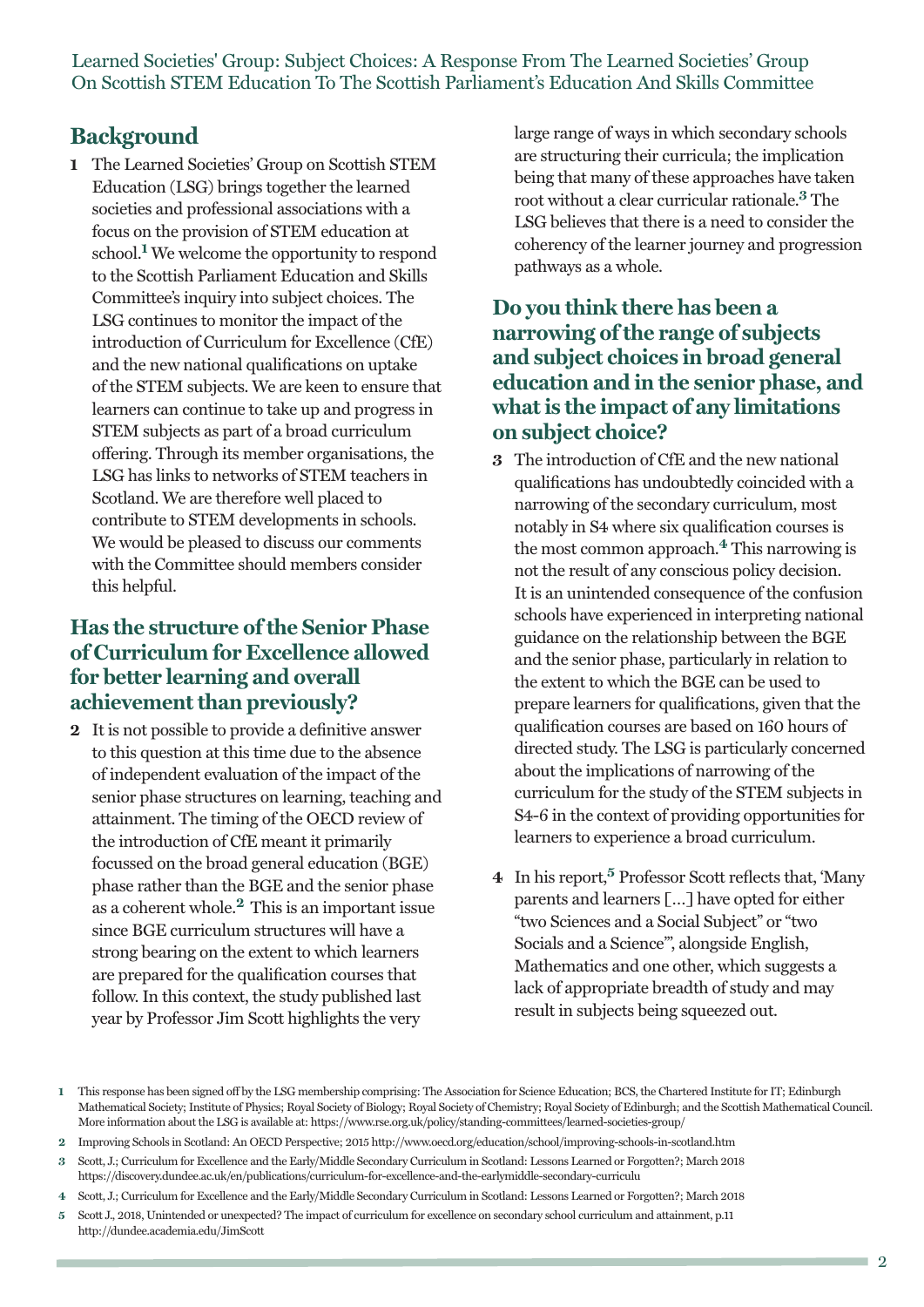## **Background**

**1** The Learned Societies' Group on Scottish STEM Education (LSG) brings together the learned societies and professional associations with a focus on the provision of STEM education at school. **<sup>1</sup>** We welcome the opportunity to respond to the Scottish Parliament Education and Skills Committee's inquiry into subject choices. The LSG continues to monitor the impact of the introduction of Curriculum for Excellence (CfE) and the new national qualifications on uptake of the STEM subjects. We are keen to ensure that learners can continue to take up and progress in STEM subjects as part of a broad curriculum offering. Through its member organisations, the LSG has links to networks of STEM teachers in Scotland. We are therefore well placed to contribute to STEM developments in schools. We would be pleased to discuss our comments with the Committee should members consider this helpful.

## **Has the structure ofthe Senior Phase of Curriculum for Excellence allowed for better learning and overall achievementthan previously?**

**2** It is not possible to provide a definitive answer to this question at this time due to the absence of independent evaluation of the impact of the senior phase structures on learning, teaching and attainment. The timing of the OECD review of the introduction of CfE meant it primarily focussed on the broad general education (BGE) phase rather than the BGE and the senior phase as a coherent whole. **<sup>2</sup>** This is an important issue since BGE curriculum structures will have a strong bearing on the extent to which learners are prepared for the qualification courses that follow. In this context, the study published last year by Professor Jim Scott highlights the very

large range of ways in which secondary schools are structuring their curricula; the implication being that many of these approaches have taken root without a clear curricular rationale. **<sup>3</sup>** The LSG believes that there is a need to consider the coherency of the learner journey and progression pathways as a whole.

## **Do you think there has been a narrowing** of the range of subjects **and subject choices in broad general education and in the senior phase, and whatis the impact of any limitations on subject choice?**

- **3** The introduction of CfE and the new national qualifications has undoubtedly coincided with a narrowing of the secondary curriculum, most notably in S4 where six qualification courses is the most common approach. **<sup>4</sup>** This narrowing is not the result of any conscious policy decision. It is an unintended consequence of the confusion schools have experienced in interpreting national guidance on the relationship between the BGE and the senior phase, particularly in relation to the extent to which the BGE can be used to prepare learners for qualifications, given that the qualification courses are based on 160 hours of directed study. The LSG is particularly concerned about the implications of narrowing of the curriculum for the study of the STEM subjects in S4-6 in the context of providing opportunities for learners to experience a broad curriculum.
- **4** In his report, **<sup>5</sup>** Professor Scott reflects that, 'Many parents and learners […] have opted for either "two Sciences and a Social Subject" or "two Socials and a Science"', alongside English, Mathematics and one other, which suggests a lack of appropriate breadth of study and may result in subjects being squeezed out.

- **3** Scott, J.; Curriculum for Excellence and the Early/Middle Secondary Curriculum in Scotland: Lessons Learned or Forgotten?; March 2018 https://discovery.dundee.ac.uk/en/publications/curriculum-for-excellence-and-the-earlymiddle-secondary-curriculu
- **4** Scott, J.; Curriculum for Excellence and the Early/Middle Secondary Curriculum in Scotland: Lessons Learned or Forgotten?; March 2018
- **5** Scott J., 2018, Unintended or unexpected? The impact of curriculum for excellence on secondary school curriculum and attainment, p.11 http://dundee.academia.edu/JimScott

**<sup>1</sup>** This response has been signed off by the LSG membership comprising: The Association for Science Education; BCS, the Chartered Institute for IT; Edinburgh Mathematical Society; Institute of Physics; Royal Society of Biology; Royal Society of Chemistry; Royal Society of Edinburgh; and the Scottish Mathematical Council. More information about the LSG is available at: https://www.rse.org.uk/policy/standing-committees/learned-societies-group/

**<sup>2</sup>** Improving Schools in Scotland: An OECD Perspective; 2015 http://www.oecd.org/education/school/improving-schools-in-scotland.htm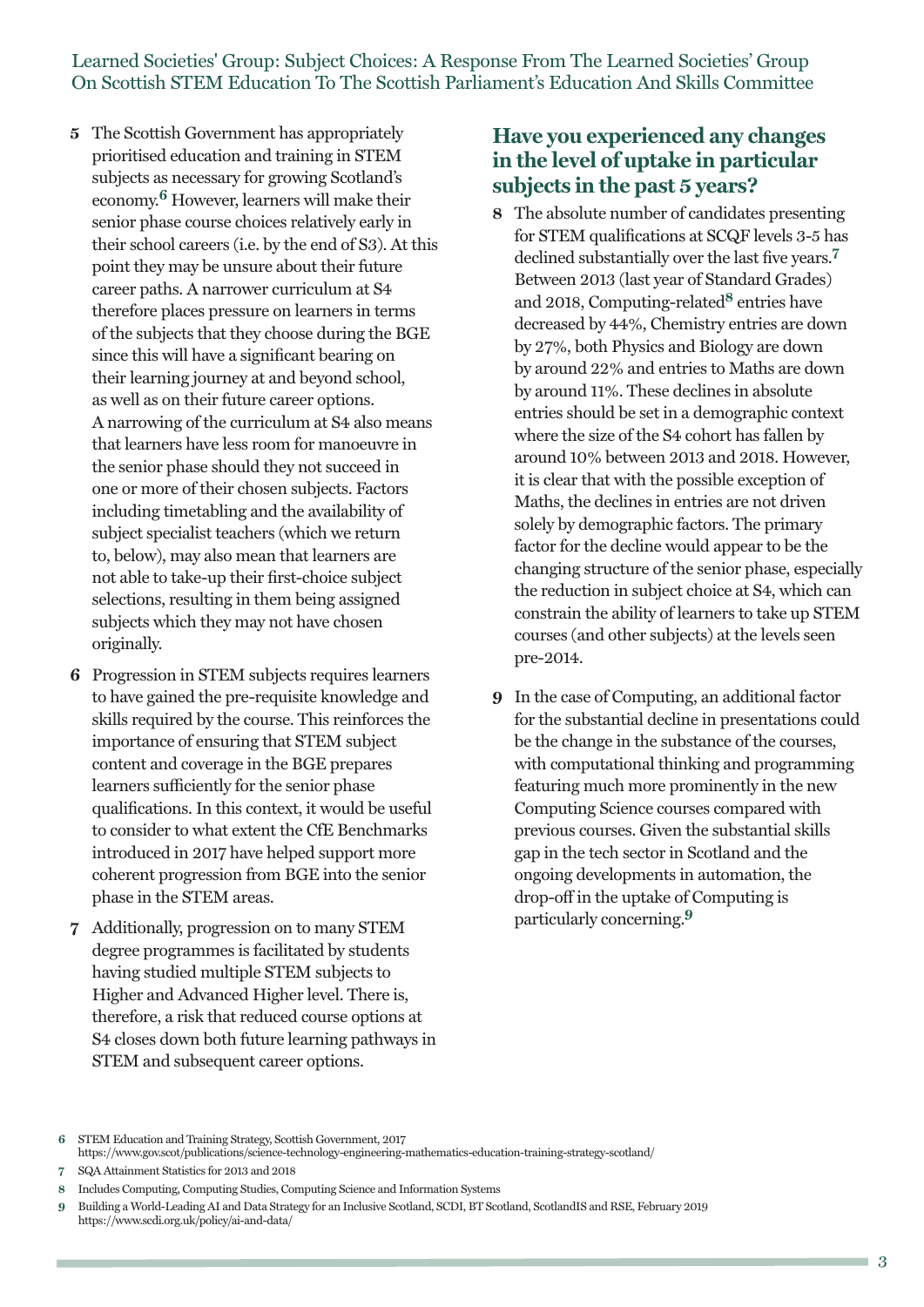- **5** The Scottish Government has appropriately prioritised education and training in STEM subjects as necessary for growing Scotland's economy. **<sup>6</sup>** However, learners will make their senior phase course choices relatively early in their school careers (i.e. by the end of S3). At this point they may be unsure about their future career paths. A narrower curriculum at S4 therefore places pressure on learners in terms of the subjects that they choose during the BGE since this will have a significant bearing on their learning journey at and beyond school, as well as on their future career options. A narrowing of the curriculum at S4 also means that learners have less room for manoeuvre in the senior phase should they not succeed in one or more of their chosen subjects. Factors including timetabling and the availability of subject specialist teachers (which we return to, below), may also mean that learners are not able to take-up their first-choice subject selections, resulting in them being assigned subjects which they may not have chosen originally.
- **6** Progression in STEM subjects requires learners to have gained the pre-requisite knowledge and skills required by the course. This reinforces the importance of ensuring that STEM subject content and coverage in the BGE prepares learners sufficiently for the senior phase qualifications. In this context, it would be useful to consider to what extent the CfE Benchmarks introduced in 2017 have helped support more coherent progression from BGE into the senior phase in the STEM areas.
- **7** Additionally, progression on to many STEM degree programmes is facilitated by students having studied multiple STEM subjects to Higher and Advanced Higher level. There is, therefore, a risk that reduced course options at S4 closes down both future learning pathways in STEM and subsequent career options.

## **Have you experienced any changes in the level of uptake in particular subjects in the past 5 years?**

- **8** The absolute number of candidates presenting for STEM qualifications at SCQF levels 3-5 has declined substantially over the last five years. **7** Between 2013 (last year of Standard Grades) and 2018, Computing-related**<sup>8</sup>** entries have decreased by 44%, Chemistry entries are down by 27%, both Physics and Biology are down by around 22% and entries to Maths are down by around 11%. These declines in absolute entries should be set in a demographic context where the size of the S4 cohort has fallen by around 10% between 2013 and 2018. However, it is clear that with the possible exception of Maths, the declines in entries are not driven solely by demographic factors. The primary factor for the decline would appear to be the changing structure of the senior phase, especially the reduction in subject choice at S4, which can constrain the ability of learners to take up STEM courses (and other subjects) at the levels seen pre-2014.
- **9** In the case of Computing, an additional factor for the substantial decline in presentations could be the change in the substance of the courses, with computational thinking and programming featuring much more prominently in the new Computing Science courses compared with previous courses. Given the substantial skills gap in the tech sector in Scotland and the ongoing developments in automation, the drop-off in the uptake of Computing is particularly concerning. **9**

**<sup>6</sup>** STEM Education and Training Strategy, Scottish Government, 2017

https://www.gov.scot/publications/science-technology-engineering-mathematics-education-training-strategy-scotland/

**<sup>7</sup>** SQA Attainment Statistics for 2013 and 2018

**<sup>8</sup>** Includes Computing, Computing Studies, Computing Science and Information Systems

**<sup>9</sup>** Building a World-Leading AI and Data Strategy for an Inclusive Scotland, SCDI, BT Scotland, ScotlandIS and RSE, February 2019 https://www.scdi.org.uk/policy/ai-and-data/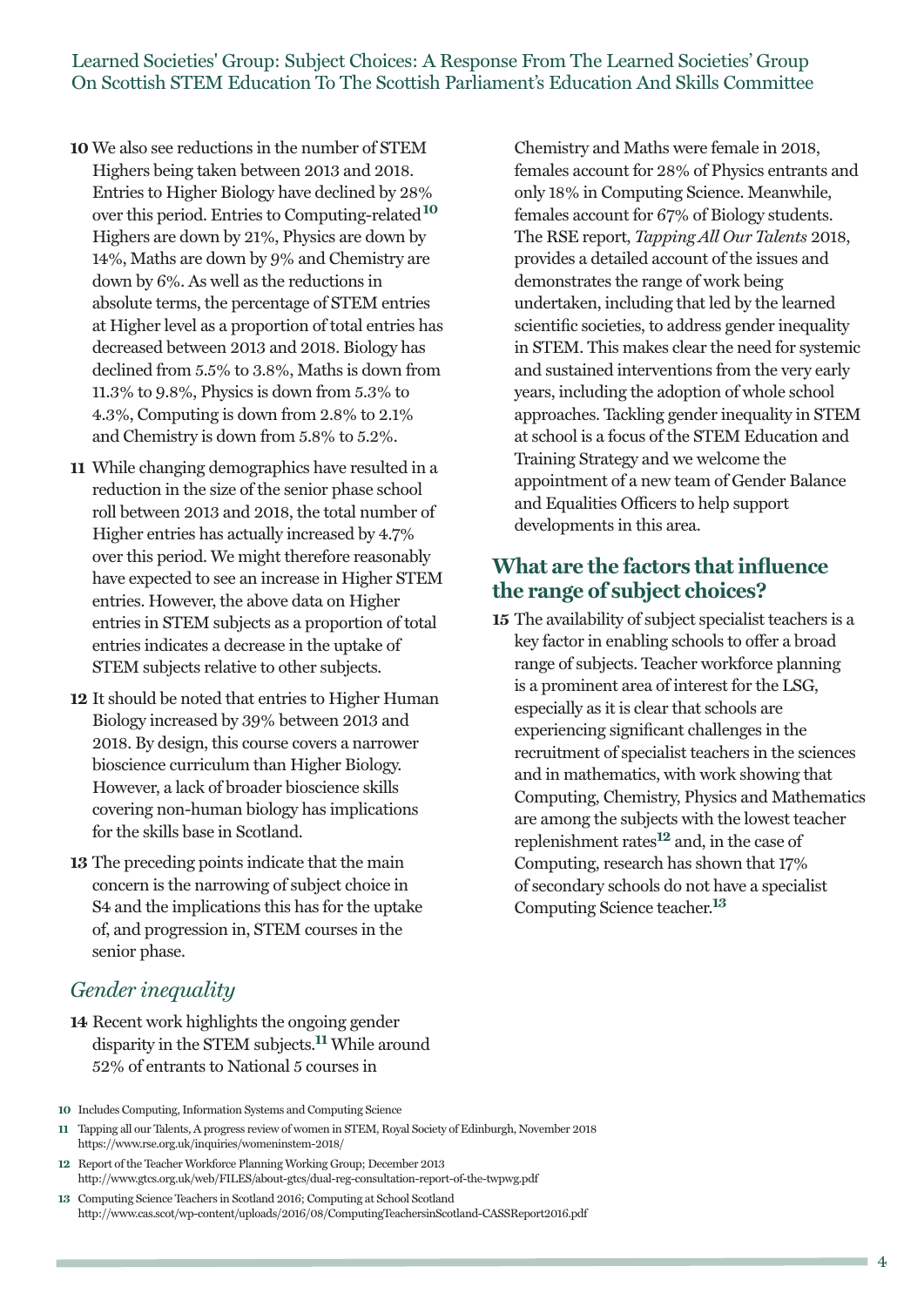- **10** We also see reductions in the number of STEM Highers being taken between 2013 and 2018. Entries to Higher Biology have declined by 28% over this period. Entries to Computing-related**<sup>10</sup>** Highers are down by 21%, Physics are down by 14%, Maths are down by 9% and Chemistry are down by 6%. As well as the reductions in absolute terms, the percentage of STEM entries at Higher level as a proportion of total entries has decreased between 2013 and 2018. Biology has declined from 5.5% to 3.8%, Maths is down from 11.3% to 9.8%, Physics is down from 5.3% to 4.3%, Computing is down from 2.8% to 2.1% and Chemistry is down from 5.8% to 5.2%.
- **11** While changing demographics have resulted in a reduction in the size of the senior phase school roll between 2013 and 2018, the total number of Higher entries has actually increased by 4.7% over this period. We might therefore reasonably have expected to see an increase in Higher STEM entries. However, the above data on Higher entries in STEM subjects as a proportion of total entries indicates a decrease in the uptake of STEM subjects relative to other subjects.
- **12** It should be noted that entries to Higher Human Biology increased by 39% between 2013 and 2018. By design, this course covers a narrower bioscience curriculum than Higher Biology. However, a lack of broader bioscience skills covering non-human biology has implications for the skills base in Scotland.
- **13** The preceding points indicate that the main concern is the narrowing of subject choice in S4 and the implications this has for the uptake of, and progression in, STEM courses in the senior phase.

#### Chemistry and Maths were female in 2018, females account for 28% of Physics entrants and only 18% in Computing Science. Meanwhile, females account for 67% of Biology students. The RSE report, *Tapping All Our Talents* 2018, provides a detailed account of the issues and demonstrates the range of work being undertaken, including that led by the learned scientific societies, to address gender inequality in STEM. This makes clear the need for systemic and sustained interventions from the very early years, including the adoption of whole school approaches. Tackling gender inequality in STEM at school is a focus of the STEM Education and Training Strategy and we welcome the appointment of a new team of Gender Balance and Equalities Officers to help support developments in this area.

## **What are the factors thatinfluence the range of subject choices?**

**15** The availability of subject specialist teachers is a key factor in enabling schools to offer a broad range of subjects. Teacher workforce planning is a prominent area of interest for the LSG, especially as it is clear that schools are experiencing significant challenges in the recruitment of specialist teachers in the sciences and in mathematics, with work showing that Computing, Chemistry, Physics and Mathematics are among the subjects with the lowest teacher replenishment rates**<sup>12</sup>** and, in the case of Computing, research has shown that 17% of secondary schools do not have a specialist Computing Science teacher. **13**

## *Gender inequality*

- **14** Recent work highlights the ongoing gender disparity in the STEM subjects. **<sup>11</sup>** While around 52% of entrants to National 5 courses in
- **10** Includes Computing, Information Systems and Computing Science
- **11** Tapping all our Talents, A progress review of women in STEM, Royal Society of Edinburgh, November 2018 https://www.rse.org.uk/inquiries/womeninstem-2018/
- **12** Report of the Teacher Workforce Planning Working Group; December 2013 http://www.gtcs.org.uk/web/FILES/about-gtcs/dual-reg-consultation-report-of-the-twpwg.pdf
- **13** Computing Science Teachers in Scotland 2016; Computing at School Scotland http://www.cas.scot/wp-content/uploads/2016/08/ComputingTeachersinScotland-CASSReport2016.pdf

m.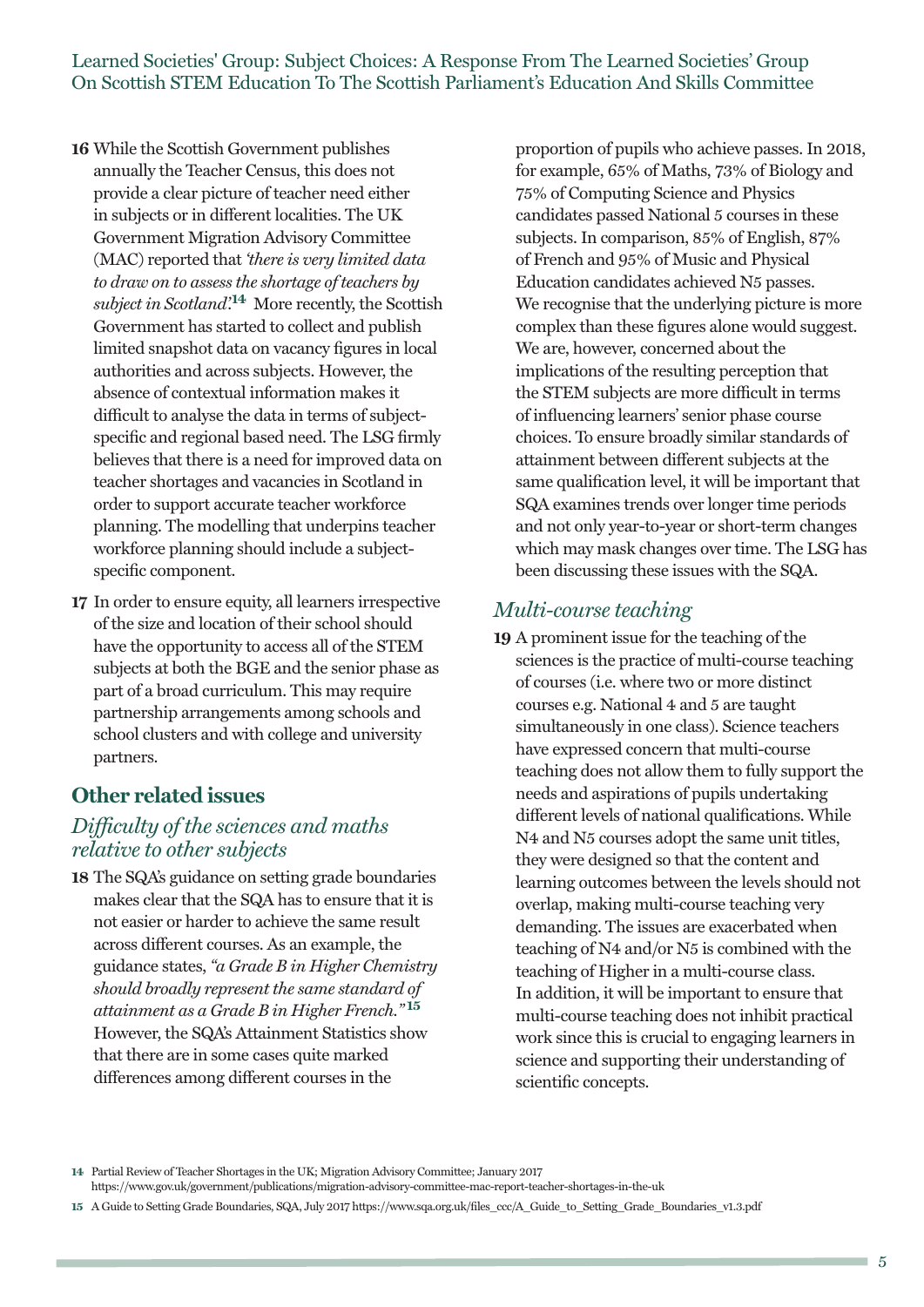- **16** While the Scottish Government publishes annually the Teacher Census, this does not provide a clear picture of teacher need either in subjects or in different localities. The UK Government Migration Advisory Committee (MAC) reported that *'there is very limited data to draw on to assess the shortage of teachers by subject in Scotland'.* **<sup>14</sup>** More recently, the Scottish Government has started to collect and publish limited snapshot data on vacancy figures in local authorities and across subjects. However, the absence of contextual information makes it difficult to analyse the data in terms of subjectspecific and regional based need. The LSG firmly believes that there is a need for improved data on teacher shortages and vacancies in Scotland in order to support accurate teacher workforce planning. The modelling that underpins teacher workforce planning should include a subjectspecific component.
- **17** In order to ensure equity, all learners irrespective of the size and location of their school should have the opportunity to access all of the STEM subjects at both the BGE and the senior phase as part of a broad curriculum. This may require partnership arrangements among schools and school clusters and with college and university partners.

## **Other related issues**

### *Difficulty of the sciences and maths relative to other subjects*

**18** The SQA's guidance on setting grade boundaries makes clear that the SQA has to ensure that it is not easier or harder to achieve the same result across different courses. As an example, the guidance states, *"a Grade B in Higher Chemistry should broadly represent the same standard of attainment as a Grade B in Higher French."* **<sup>15</sup>** However, the SQA's Attainment Statistics show that there are in some cases quite marked differences among different courses in the

proportion of pupils who achieve passes. In 2018, for example, 65% of Maths, 73% of Biology and 75% of Computing Science and Physics candidates passed National 5 courses in these subjects. In comparison, 85% of English, 87% of French and 95% of Music and Physical Education candidates achieved N5 passes. We recognise that the underlying picture is more complex than these figures alone would suggest. We are, however, concerned about the implications of the resulting perception that the STEM subjects are more difficult in terms of influencing learners' senior phase course choices. To ensure broadly similar standards of attainment between different subjects at the same qualification level, it will be important that SQA examines trends over longer time periods and not only year-to-year or short-term changes which may mask changes over time. The LSG has been discussing these issues with the SQA.

#### *Multi-course teaching*

**19** A prominent issue for the teaching of the sciences is the practice of multi-course teaching of courses (i.e. where two or more distinct courses e.g. National 4 and 5 are taught simultaneously in one class). Science teachers have expressed concern that multi-course teaching does not allow them to fully support the needs and aspirations of pupils undertaking different levels of national qualifications. While N4 and N5 courses adopt the same unit titles, they were designed so that the content and learning outcomes between the levels should not overlap, making multi-course teaching very demanding. The issues are exacerbated when teaching of N4 and/or N5 is combined with the teaching of Higher in a multi-course class. In addition, it will be important to ensure that multi-course teaching does not inhibit practical work since this is crucial to engaging learners in science and supporting their understanding of scientific concepts.

**<sup>14</sup>** Partial Review of Teacher Shortages in the UK; Migration Advisory Committee; January 2017

https://www.gov.uk/government/publications/migration-advisory-committee-mac-report-teacher-shortages-in-the-uk

**<sup>15</sup>** A Guide to Setting Grade Boundaries, SQA, July 2017 https://www.sqa.org.uk/files\_ccc/A\_Guide\_to\_Setting\_Grade\_Boundaries\_v1.3.pdf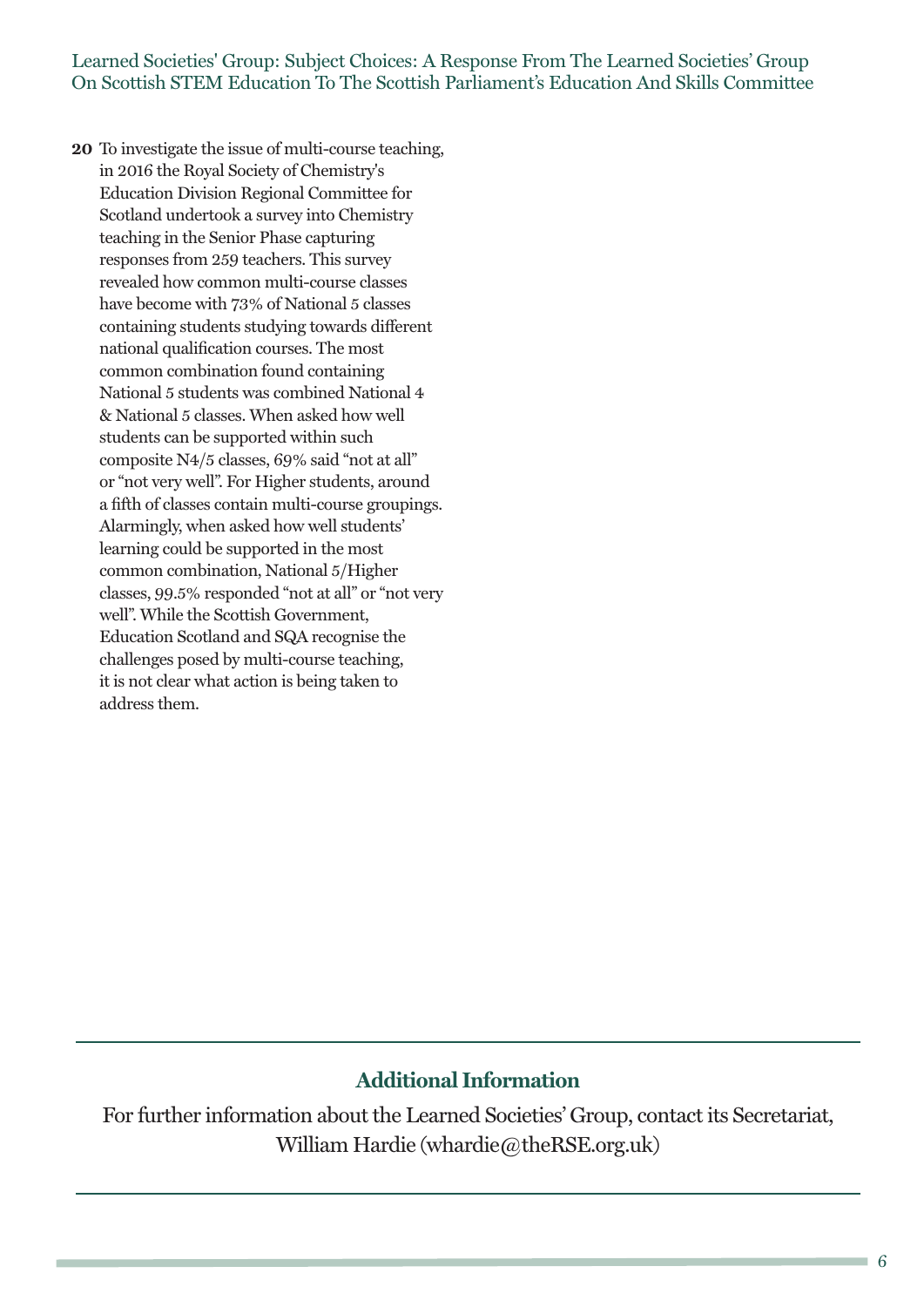**20** To investigate the issue of multi-course teaching, in 2016 the Royal Society of Chemistry's Education Division Regional Committee for Scotland undertook a survey into Chemistry teaching in the Senior Phase capturing responses from 259 teachers. This survey revealed how common multi-course classes have become with 73% of National 5 classes containing students studying towards different national qualification courses. The most common combination found containing National 5 students was combined National 4 & National 5 classes. When asked how well students can be supported within such composite N4/5 classes, 69% said "not at all" or "not very well". For Higher students, around a fifth of classes contain multi-course groupings. Alarmingly, when asked how well students' learning could be supported in the most common combination, National 5/Higher classes, 99.5% responded "not at all" or "not very well". While the Scottish Government, Education Scotland and SQA recognise the challenges posed by multi-course teaching, it is not clear what action is being taken to address them.

## **Additional Information**

For further information about the Learned Societies' Group, contact its Secretariat, William Hardie (whardie@theRSE.org.uk)